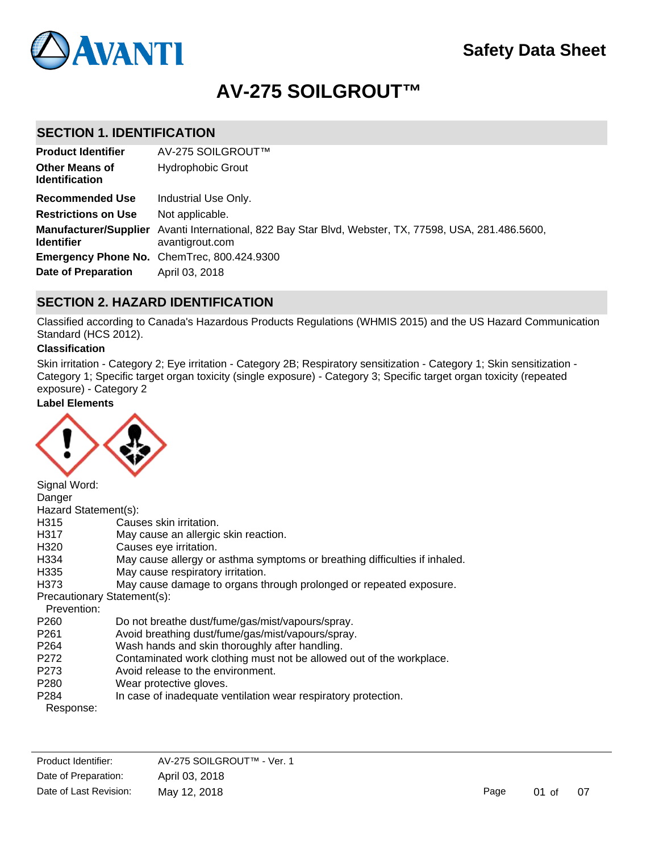

# **AV-275 SOILGROUT™**

# **SECTION 1. IDENTIFICATION**

| <b>Product Identifier</b>                      | AV-275 SOILGROUT™                                                                                                        |
|------------------------------------------------|--------------------------------------------------------------------------------------------------------------------------|
| <b>Other Means of</b><br><b>Identification</b> | <b>Hydrophobic Grout</b>                                                                                                 |
| <b>Recommended Use</b>                         | Industrial Use Only.                                                                                                     |
| <b>Restrictions on Use</b>                     | Not applicable.                                                                                                          |
| <b>Identifier</b>                              | Manufacturer/Supplier Avanti International, 822 Bay Star Blvd, Webster, TX, 77598, USA, 281.486.5600,<br>avantigrout.com |
|                                                | Emergency Phone No. ChemTrec, 800.424.9300                                                                               |
| Date of Preparation                            | April 03, 2018                                                                                                           |

# **SECTION 2. HAZARD IDENTIFICATION**

Classified according to Canada's Hazardous Products Regulations (WHMIS 2015) and the US Hazard Communication Standard (HCS 2012).

### **Classification**

Skin irritation - Category 2; Eye irritation - Category 2B; Respiratory sensitization - Category 1; Skin sensitization - Category 1; Specific target organ toxicity (single exposure) - Category 3; Specific target organ toxicity (repeated exposure) - Category 2

# **Label Elements**



| Signal Word:                |                                                                            |
|-----------------------------|----------------------------------------------------------------------------|
| Danger                      |                                                                            |
| Hazard Statement(s):        |                                                                            |
| H315                        | Causes skin irritation.                                                    |
| H317                        | May cause an allergic skin reaction.                                       |
| H320                        | Causes eye irritation.                                                     |
| H334                        | May cause allergy or asthma symptoms or breathing difficulties if inhaled. |
| H335                        | May cause respiratory irritation.                                          |
| H373                        | May cause damage to organs through prolonged or repeated exposure.         |
| Precautionary Statement(s): |                                                                            |
| Prevention:                 |                                                                            |
| P <sub>260</sub>            | Do not breathe dust/fume/gas/mist/vapours/spray.                           |
| P <sub>261</sub>            | Avoid breathing dust/fume/gas/mist/vapours/spray.                          |
| P <sub>264</sub>            | Wash hands and skin thoroughly after handling.                             |
| P272                        | Contaminated work clothing must not be allowed out of the workplace.       |
| P273                        | Avoid release to the environment.                                          |
| P <sub>280</sub>            | Wear protective gloves.                                                    |
| P <sub>284</sub>            | In case of inadequate ventilation wear respiratory protection.             |
| Response:                   |                                                                            |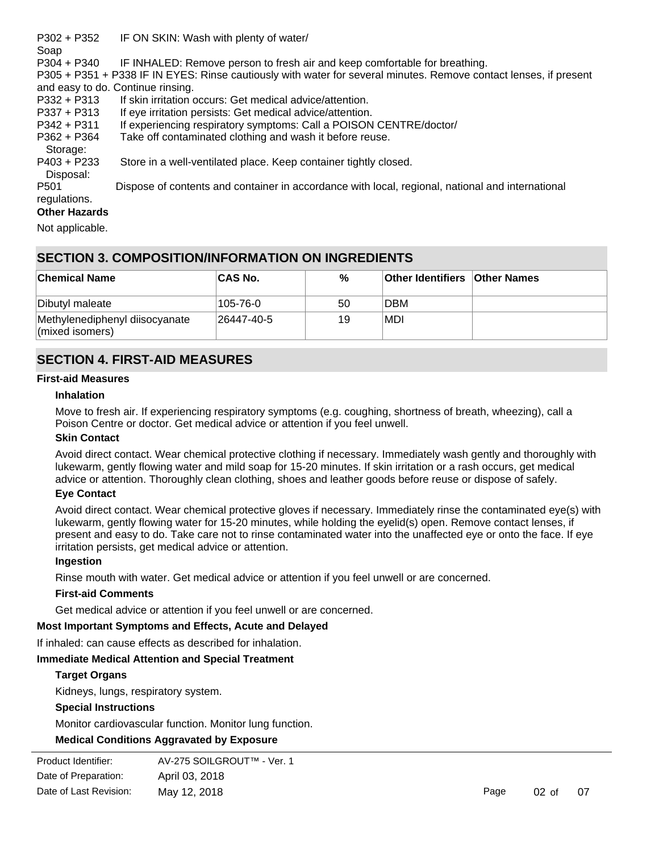| $P302 + P352$        | IF ON SKIN: Wash with plenty of water/                                                                            |
|----------------------|-------------------------------------------------------------------------------------------------------------------|
| Soap                 |                                                                                                                   |
| $P304 + P340$        | IF INHALED: Remove person to fresh air and keep comfortable for breathing.                                        |
|                      | P305 + P351 + P338 IF IN EYES: Rinse cautiously with water for several minutes. Remove contact lenses, if present |
|                      | and easy to do. Continue rinsing.                                                                                 |
| $P332 + P313$        | If skin irritation occurs: Get medical advice/attention.                                                          |
| $P337 + P313$        | If eye irritation persists: Get medical advice/attention.                                                         |
| $P342 + P311$        | If experiencing respiratory symptoms: Call a POISON CENTRE/doctor/                                                |
| $P362 + P364$        | Take off contaminated clothing and wash it before reuse.                                                          |
| Storage:             |                                                                                                                   |
| $P403 + P233$        | Store in a well-ventilated place. Keep container tightly closed.                                                  |
| Disposal:            |                                                                                                                   |
| P <sub>501</sub>     | Dispose of contents and container in accordance with local, regional, national and international                  |
| regulations.         |                                                                                                                   |
| <b>Other Hazards</b> |                                                                                                                   |
| Not applicable.      |                                                                                                                   |

# **SECTION 3. COMPOSITION/INFORMATION ON INGREDIENTS**

| <b>Chemical Name</b>                                      | <b>CAS No.</b>   | %  | <b>Other Identifiers Other Names</b> |  |
|-----------------------------------------------------------|------------------|----|--------------------------------------|--|
| Dibutyl maleate                                           | 105-76-0         | 50 | <b>DBM</b>                           |  |
| Methylenediphenyl diisocyanate<br>$\vert$ (mixed isomers) | $26447 - 40 - 5$ | 19 | MDI!                                 |  |

# **SECTION 4. FIRST-AID MEASURES**

#### **First-aid Measures**

#### **Inhalation**

Move to fresh air. If experiencing respiratory symptoms (e.g. coughing, shortness of breath, wheezing), call a Poison Centre or doctor. Get medical advice or attention if you feel unwell.

# **Skin Contact**

Avoid direct contact. Wear chemical protective clothing if necessary. Immediately wash gently and thoroughly with lukewarm, gently flowing water and mild soap for 15-20 minutes. If skin irritation or a rash occurs, get medical advice or attention. Thoroughly clean clothing, shoes and leather goods before reuse or dispose of safely.

# **Eye Contact**

Avoid direct contact. Wear chemical protective gloves if necessary. Immediately rinse the contaminated eye(s) with lukewarm, gently flowing water for 15-20 minutes, while holding the eyelid(s) open. Remove contact lenses, if present and easy to do. Take care not to rinse contaminated water into the unaffected eye or onto the face. If eye irritation persists, get medical advice or attention.

#### **Ingestion**

Rinse mouth with water. Get medical advice or attention if you feel unwell or are concerned.

#### **First-aid Comments**

Get medical advice or attention if you feel unwell or are concerned.

# **Most Important Symptoms and Effects, Acute and Delayed**

If inhaled: can cause effects as described for inhalation.

# **Immediate Medical Attention and Special Treatment**

# **Target Organs**

Kidneys, lungs, respiratory system.

#### **Special Instructions**

Monitor cardiovascular function. Monitor lung function.

# **Medical Conditions Aggravated by Exposure**

| Product Identifier:    | AV-275 SOILGROUT™ - Ver. 1 |
|------------------------|----------------------------|
| Date of Preparation:   | April 03, 2018             |
| Date of Last Revision: | May 12, 2018               |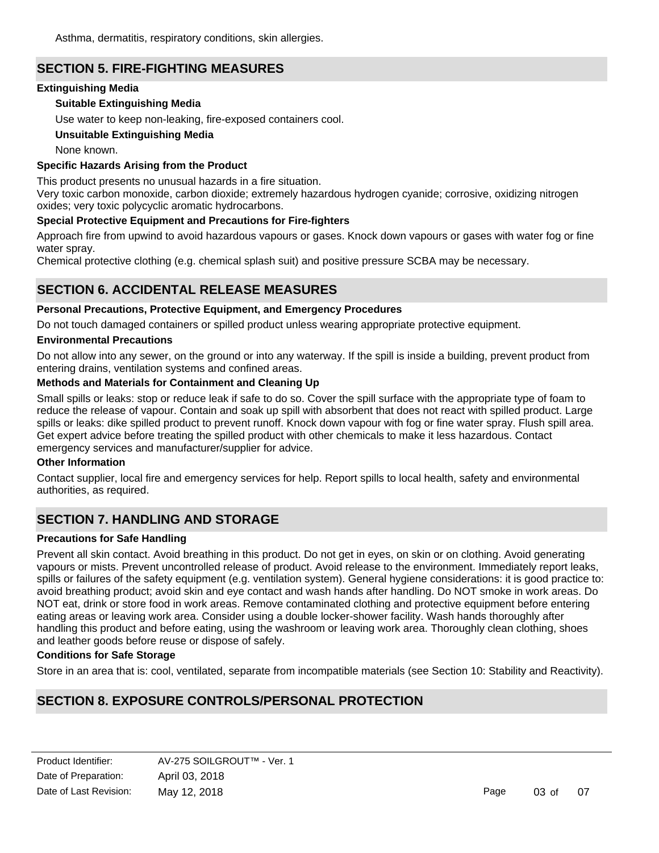# **SECTION 5. FIRE-FIGHTING MEASURES**

# **Extinguishing Media**

# **Suitable Extinguishing Media**

Use water to keep non-leaking, fire-exposed containers cool.

# **Unsuitable Extinguishing Media**

None known.

# **Specific Hazards Arising from the Product**

This product presents no unusual hazards in a fire situation.

Very toxic carbon monoxide, carbon dioxide; extremely hazardous hydrogen cyanide; corrosive, oxidizing nitrogen oxides; very toxic polycyclic aromatic hydrocarbons.

# **Special Protective Equipment and Precautions for Fire-fighters**

Approach fire from upwind to avoid hazardous vapours or gases. Knock down vapours or gases with water fog or fine water spray.

Chemical protective clothing (e.g. chemical splash suit) and positive pressure SCBA may be necessary.

# **SECTION 6. ACCIDENTAL RELEASE MEASURES**

# **Personal Precautions, Protective Equipment, and Emergency Procedures**

Do not touch damaged containers or spilled product unless wearing appropriate protective equipment.

# **Environmental Precautions**

Do not allow into any sewer, on the ground or into any waterway. If the spill is inside a building, prevent product from entering drains, ventilation systems and confined areas.

# **Methods and Materials for Containment and Cleaning Up**

Small spills or leaks: stop or reduce leak if safe to do so. Cover the spill surface with the appropriate type of foam to reduce the release of vapour. Contain and soak up spill with absorbent that does not react with spilled product. Large spills or leaks: dike spilled product to prevent runoff. Knock down vapour with fog or fine water spray. Flush spill area. Get expert advice before treating the spilled product with other chemicals to make it less hazardous. Contact emergency services and manufacturer/supplier for advice.

# **Other Information**

Contact supplier, local fire and emergency services for help. Report spills to local health, safety and environmental authorities, as required.

# **SECTION 7. HANDLING AND STORAGE**

# **Precautions for Safe Handling**

Prevent all skin contact. Avoid breathing in this product. Do not get in eyes, on skin or on clothing. Avoid generating vapours or mists. Prevent uncontrolled release of product. Avoid release to the environment. Immediately report leaks, spills or failures of the safety equipment (e.g. ventilation system). General hygiene considerations: it is good practice to: avoid breathing product; avoid skin and eye contact and wash hands after handling. Do NOT smoke in work areas. Do NOT eat, drink or store food in work areas. Remove contaminated clothing and protective equipment before entering eating areas or leaving work area. Consider using a double locker-shower facility. Wash hands thoroughly after handling this product and before eating, using the washroom or leaving work area. Thoroughly clean clothing, shoes and leather goods before reuse or dispose of safely.

# **Conditions for Safe Storage**

Store in an area that is: cool, ventilated, separate from incompatible materials (see Section 10: Stability and Reactivity).

# **SECTION 8. EXPOSURE CONTROLS/PERSONAL PROTECTION**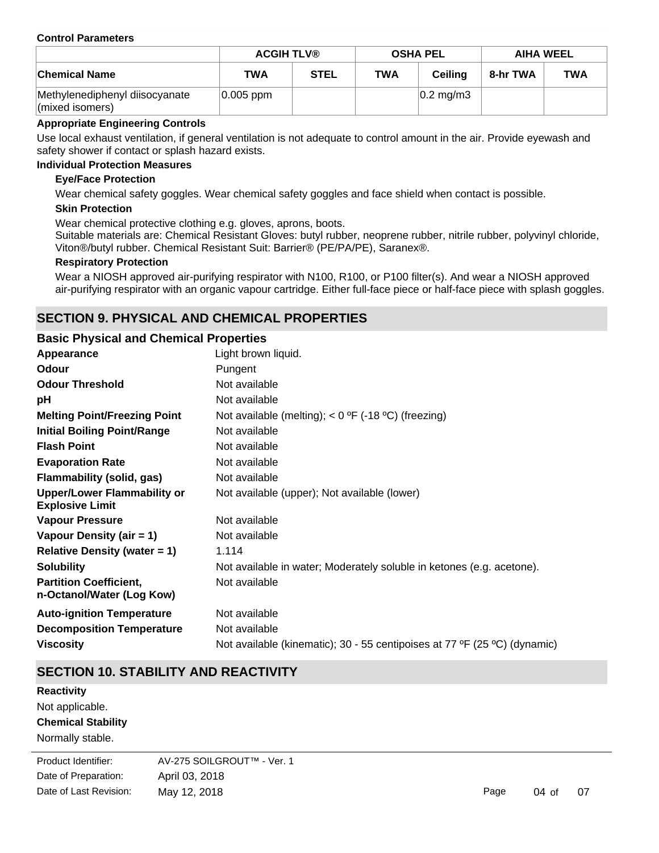#### **Control Parameters**

|                                                   | <b>ACGIH TLV®</b> |             | <b>OSHA PEL</b> |                      | <b>AIHA WEEL</b> |            |
|---------------------------------------------------|-------------------|-------------|-----------------|----------------------|------------------|------------|
| <b>Chemical Name</b>                              | <b>TWA</b>        | <b>STEL</b> | <b>TWA</b>      | <b>Ceiling</b>       | 8-hr TWA         | <b>TWA</b> |
| Methylenediphenyl diisocyanate<br>(mixed isomers) | $0.005$ ppm       |             |                 | $ 0.2 \text{ mg/m}3$ |                  |            |

### **Appropriate Engineering Controls**

Use local exhaust ventilation, if general ventilation is not adequate to control amount in the air. Provide eyewash and safety shower if contact or splash hazard exists.

#### **Individual Protection Measures**

#### **Eye/Face Protection**

Wear chemical safety goggles. Wear chemical safety goggles and face shield when contact is possible.

#### **Skin Protection**

Wear chemical protective clothing e.g. gloves, aprons, boots.

Suitable materials are: Chemical Resistant Gloves: butyl rubber, neoprene rubber, nitrile rubber, polyvinyl chloride, Viton®/butyl rubber. Chemical Resistant Suit: Barrier® (PE/PA/PE), Saranex®.

#### **Respiratory Protection**

Wear a NIOSH approved air-purifying respirator with N100, R100, or P100 filter(s). And wear a NIOSH approved air-purifying respirator with an organic vapour cartridge. Either full-face piece or half-face piece with splash goggles.

# **SECTION 9. PHYSICAL AND CHEMICAL PROPERTIES**

#### **Basic Physical and Chemical Properties**

| Appearance                                                   | Light brown liquid.                                                       |
|--------------------------------------------------------------|---------------------------------------------------------------------------|
| <b>Odour</b>                                                 | Pungent                                                                   |
| <b>Odour Threshold</b>                                       | Not available                                                             |
| рH                                                           | Not available                                                             |
| <b>Melting Point/Freezing Point</b>                          | Not available (melting); < $0^{\circ}$ F (-18 °C) (freezing)              |
| <b>Initial Boiling Point/Range</b>                           | Not available                                                             |
| <b>Flash Point</b>                                           | Not available                                                             |
| <b>Evaporation Rate</b>                                      | Not available                                                             |
| Flammability (solid, gas)                                    | Not available                                                             |
| <b>Upper/Lower Flammability or</b><br><b>Explosive Limit</b> | Not available (upper); Not available (lower)                              |
| <b>Vapour Pressure</b>                                       | Not available                                                             |
| Vapour Density (air = 1)                                     | Not available                                                             |
| Relative Density (water $= 1$ )                              | 1.114                                                                     |
| <b>Solubility</b>                                            | Not available in water; Moderately soluble in ketones (e.g. acetone).     |
| <b>Partition Coefficient,</b><br>n-Octanol/Water (Log Kow)   | Not available                                                             |
| <b>Auto-ignition Temperature</b>                             | Not available                                                             |
| <b>Decomposition Temperature</b>                             | Not available                                                             |
| <b>Viscosity</b>                                             | Not available (kinematic); 30 - 55 centipoises at 77 °F (25 °C) (dynamic) |

# **SECTION 10. STABILITY AND REACTIVITY**

**Chemical Stability Reactivity** Not applicable.

Normally stable.

**Product Identifier:** Date of Preparation: April 03, 2018 AV-275 SOILGROUT™ - Ver. 1 Date of Last Revision: May 12, 2018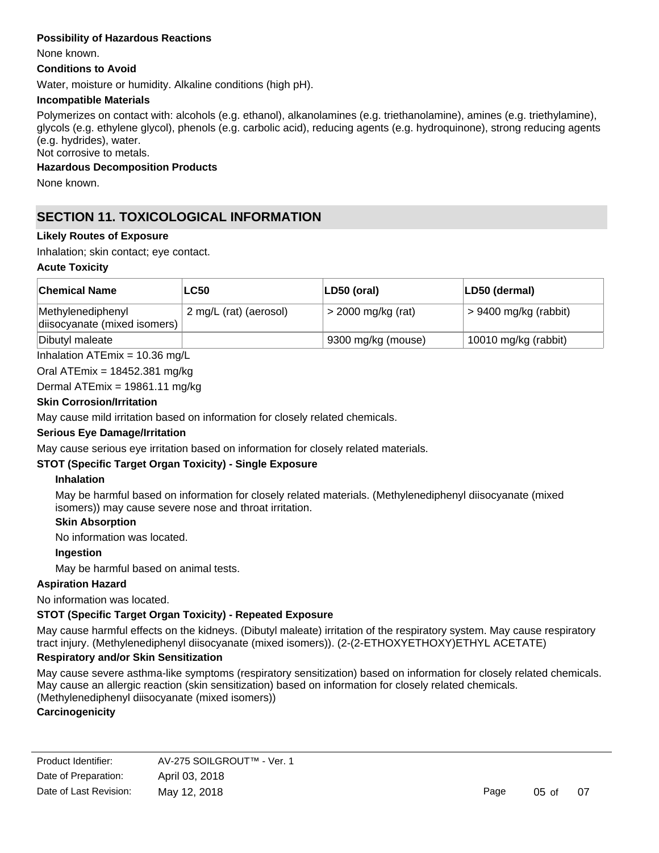### **Possibility of Hazardous Reactions**

None known.

#### **Conditions to Avoid**

Water, moisture or humidity. Alkaline conditions (high pH).

#### **Incompatible Materials**

Polymerizes on contact with: alcohols (e.g. ethanol), alkanolamines (e.g. triethanolamine), amines (e.g. triethylamine), glycols (e.g. ethylene glycol), phenols (e.g. carbolic acid), reducing agents (e.g. hydroquinone), strong reducing agents (e.g. hydrides), water.

Not corrosive to metals.

# **Hazardous Decomposition Products**

None known.

# **SECTION 11. TOXICOLOGICAL INFORMATION**

#### **Likely Routes of Exposure**

Inhalation; skin contact; eye contact.

#### **Acute Toxicity**

| <b>Chemical Name</b>                             | <b>LC50</b>            | $ LD50$ (oral)       | LD50 (dermal)           |
|--------------------------------------------------|------------------------|----------------------|-------------------------|
| Methylenediphenyl<br>disocyanate (mixed isomers) | 2 mg/L (rat) (aerosol) | $>$ 2000 mg/kg (rat) | $> 9400$ mg/kg (rabbit) |
| Dibutyl maleate                                  |                        | 9300 mg/kg (mouse)   | 10010 mg/kg (rabbit)    |

Inhalation ATEmix = 10.36 mg/L

Oral ATEmix = 18452.381 mg/kg

Dermal ATEmix = 19861.11 mg/kg

#### **Skin Corrosion/Irritation**

May cause mild irritation based on information for closely related chemicals.

# **Serious Eye Damage/Irritation**

May cause serious eye irritation based on information for closely related materials.

# **STOT (Specific Target Organ Toxicity) - Single Exposure**

#### **Inhalation**

May be harmful based on information for closely related materials. (Methylenediphenyl diisocyanate (mixed isomers)) may cause severe nose and throat irritation.

#### **Skin Absorption**

No information was located.

**Ingestion**

May be harmful based on animal tests.

# **Aspiration Hazard**

No information was located.

# **STOT (Specific Target Organ Toxicity) - Repeated Exposure**

May cause harmful effects on the kidneys. (Dibutyl maleate) irritation of the respiratory system. May cause respiratory tract injury. (Methylenediphenyl diisocyanate (mixed isomers)). (2-(2-ETHOXYETHOXY)ETHYL ACETATE)

#### **Respiratory and/or Skin Sensitization**

May cause severe asthma-like symptoms (respiratory sensitization) based on information for closely related chemicals. May cause an allergic reaction (skin sensitization) based on information for closely related chemicals. (Methylenediphenyl diisocyanate (mixed isomers))

# **Carcinogenicity**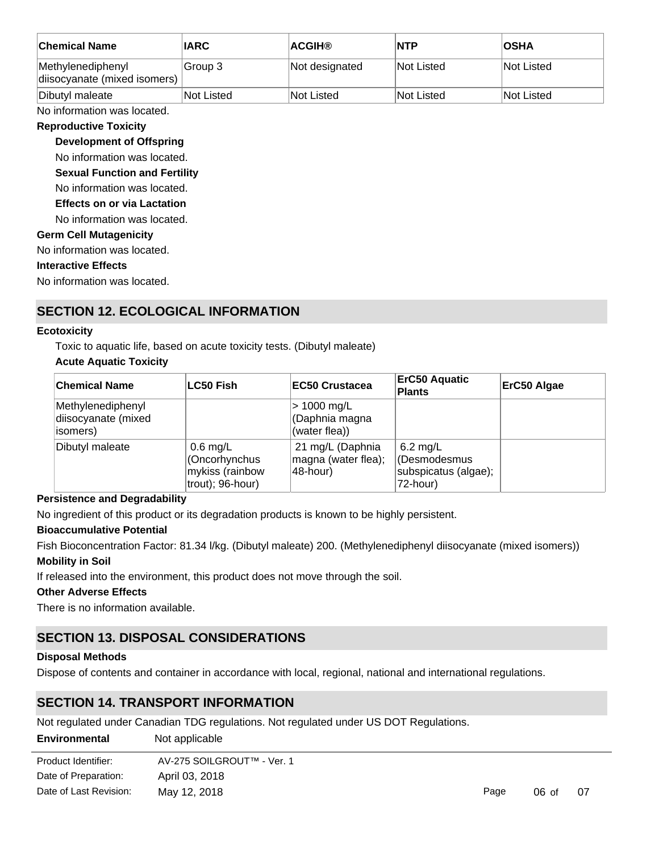| <b>Chemical Name</b>                              | <b>IARC</b> | <b>ACGIH®</b>     | <b>NTP</b> | <b>OSHA</b>       |
|---------------------------------------------------|-------------|-------------------|------------|-------------------|
| Methylenediphenyl<br>diisocyanate (mixed isomers) | ∣Group 3    | Not designated    | Not Listed | <b>Not Listed</b> |
| Dibutyl maleate                                   | Not Listed  | <b>Not Listed</b> | Not Listed | <b>Not Listed</b> |

No information was located.

#### **Reproductive Toxicity**

#### **Development of Offspring**

No information was located.

**Sexual Function and Fertility**

No information was located.

**Effects on or via Lactation**

No information was located.

# **Germ Cell Mutagenicity**

No information was located.

#### **Interactive Effects**

No information was located.

# **SECTION 12. ECOLOGICAL INFORMATION**

#### **Ecotoxicity**

Toxic to aquatic life, based on acute toxicity tests. (Dibutyl maleate)

# **Acute Aquatic Toxicity**

| <b>Chemical Name</b>                                 | <b>LC50 Fish</b>                                                   | <b>EC50 Crustacea</b>                               | <b>ErC50 Aquatic</b><br>Plants                                 | ErC50 Algae |
|------------------------------------------------------|--------------------------------------------------------------------|-----------------------------------------------------|----------------------------------------------------------------|-------------|
| Methylenediphenyl<br>diisocyanate (mixed<br>isomers) |                                                                    | > 1000 mg/L<br>(Daphnia magna<br>(water flea))      |                                                                |             |
| Dibutyl maleate                                      | $0.6$ mg/L<br>(Oncorhynchus<br>mykiss (rainbow<br>trout); 96-hour) | 21 mg/L (Daphnia<br>magna (water flea);<br>48-hour) | $6.2$ mg/L<br>(Desmodesmus<br>subspicatus (algae);<br>72-hour) |             |

#### **Persistence and Degradability**

No ingredient of this product or its degradation products is known to be highly persistent.

# **Bioaccumulative Potential**

Fish Bioconcentration Factor: 81.34 l/kg. (Dibutyl maleate) 200. (Methylenediphenyl diisocyanate (mixed isomers)) **Mobility in Soil**

If released into the environment, this product does not move through the soil.

#### **Other Adverse Effects**

There is no information available.

# **SECTION 13. DISPOSAL CONSIDERATIONS**

#### **Disposal Methods**

Dispose of contents and container in accordance with local, regional, national and international regulations.

# **SECTION 14. TRANSPORT INFORMATION**

Not regulated under Canadian TDG regulations. Not regulated under US DOT Regulations.

| <b>Environmental</b>   | Not applicable             |      |       |    |  |  |
|------------------------|----------------------------|------|-------|----|--|--|
| Product Identifier:    | AV-275 SOILGROUT™ - Ver. 1 |      |       |    |  |  |
| Date of Preparation:   | April 03, 2018             |      |       |    |  |  |
| Date of Last Revision: | May 12, 2018               | Page | 06 of | 07 |  |  |